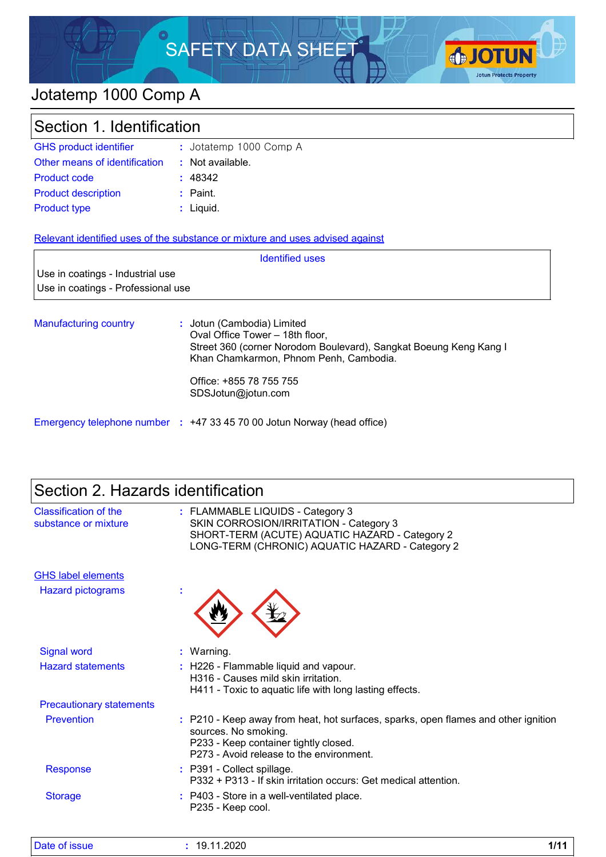# SAFETY DATA SHEET



## Jotatemp 1000 Comp A

| Section 1. Identification                                                     |                        |  |
|-------------------------------------------------------------------------------|------------------------|--|
| <b>GHS product identifier</b>                                                 | : Jotatemp 1000 Comp A |  |
| Other means of identification                                                 | : Not available.       |  |
| <b>Product code</b>                                                           | : 48342                |  |
| <b>Product description</b>                                                    | $:$ Paint.             |  |
| <b>Product type</b>                                                           | $:$ Liquid.            |  |
| Relevant identified uses of the substance or mixture and uses advised against |                        |  |
|                                                                               | <b>Identified uses</b> |  |

| Use in coatings - Industrial use   |
|------------------------------------|
| Use in coatings - Professional use |

Manufacturing country **:** : Jotun (Cambodia) Limited Oval Office Tower – 18th floor, Street 360 (corner Norodom Boulevard), Sangkat Boeung Keng Kang I Khan Chamkarmon, Phnom Penh, Cambodia. Office: +855 78 755 755 SDSJotun@jotun.com

Emergency telephone number **:** +47 33 45 70 00 Jotun Norway (head office)

| Section 2. Hazards identification |  |
|-----------------------------------|--|
|-----------------------------------|--|

| Classification of the<br>substance or mixture | : FLAMMABLE LIQUIDS - Category 3<br>SKIN CORROSION/IRRITATION - Category 3<br>SHORT-TERM (ACUTE) AQUATIC HAZARD - Category 2<br>LONG-TERM (CHRONIC) AQUATIC HAZARD - Category 2                 |
|-----------------------------------------------|-------------------------------------------------------------------------------------------------------------------------------------------------------------------------------------------------|
| <b>GHS label elements</b>                     |                                                                                                                                                                                                 |
| <b>Hazard pictograms</b>                      | t                                                                                                                                                                                               |
| <b>Signal word</b>                            | : Warning.                                                                                                                                                                                      |
| <b>Hazard statements</b>                      | : H226 - Flammable liquid and vapour.<br>H316 - Causes mild skin irritation.<br>H411 - Toxic to aquatic life with long lasting effects.                                                         |
| <b>Precautionary statements</b>               |                                                                                                                                                                                                 |
| Prevention                                    | : P210 - Keep away from heat, hot surfaces, sparks, open flames and other ignition<br>sources. No smoking.<br>P233 - Keep container tightly closed.<br>P273 - Avoid release to the environment. |
| <b>Response</b>                               | : P391 - Collect spillage.<br>P332 + P313 - If skin irritation occurs: Get medical attention.                                                                                                   |
| <b>Storage</b>                                | : P403 - Store in a well-ventilated place.<br>P235 - Keep cool.                                                                                                                                 |

| <b>Date</b><br><b>ISSUE</b> | ∩מ∩מ<br>l u<br>ט∠ט<br>ັບ. | 414 <sup>2</sup> |
|-----------------------------|---------------------------|------------------|
|-----------------------------|---------------------------|------------------|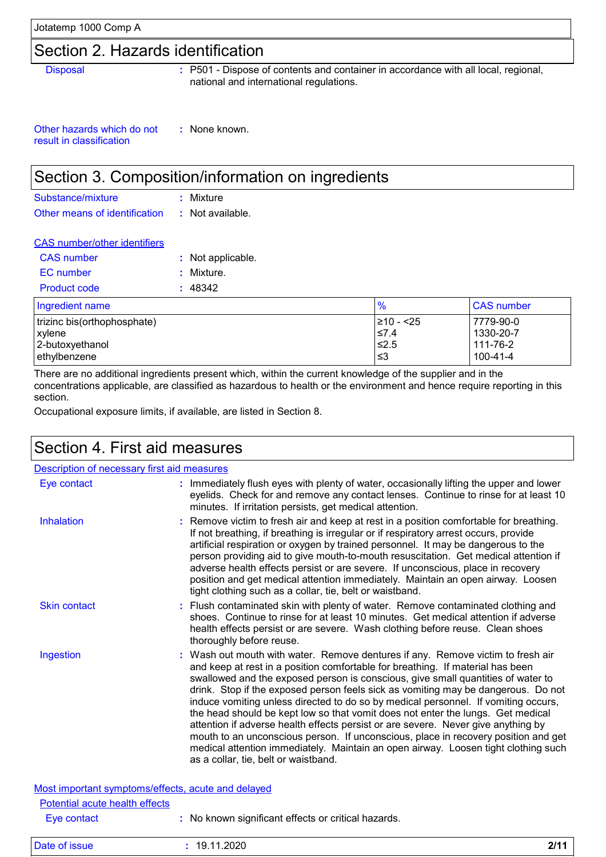## Section 2. Hazards identification

Disposal **:** P501 - Dispose of contents and container in accordance with all local, regional, national and international regulations.

Other hazards which do not result in classification **:** None known.

## Section 3. Composition/information on ingredients

| Substance/mixture             | : Mixture        |
|-------------------------------|------------------|
| Other means of identification | : Not available. |

| <b>CAS</b> number/other identifiers |                   |
|-------------------------------------|-------------------|
| <b>CAS</b> number                   | : Not applicable. |
| EC number                           | : Mixture.        |
| Product code                        | : 48342           |
| Indredient name                     |                   |

| Ingredient name             | $\frac{9}{6}$ | <b>CAS number</b> |
|-----------------------------|---------------|-------------------|
| trizinc bis(orthophosphate) | 1≥10 - <25    | 7779-90-0         |
| xylene                      | $\leq 7.4$    | 1330-20-7         |
| 2-butoxyethanol             | $\leq 2.5$    | 111-76-2          |
| ethylbenzene                | ו≥ ≥          | 100-41-4          |

There are no additional ingredients present which, within the current knowledge of the supplier and in the concentrations applicable, are classified as hazardous to health or the environment and hence require reporting in this section.

Occupational exposure limits, if available, are listed in Section 8.

## Section 4. First aid measures

| Description of necessary first aid measures                                          |                                                                                                                                                                                                                                                                                                                                                                                                                                                                                                                                                                                                                                                                                                                                                                                                                              |
|--------------------------------------------------------------------------------------|------------------------------------------------------------------------------------------------------------------------------------------------------------------------------------------------------------------------------------------------------------------------------------------------------------------------------------------------------------------------------------------------------------------------------------------------------------------------------------------------------------------------------------------------------------------------------------------------------------------------------------------------------------------------------------------------------------------------------------------------------------------------------------------------------------------------------|
| Eye contact                                                                          | : Immediately flush eyes with plenty of water, occasionally lifting the upper and lower<br>eyelids. Check for and remove any contact lenses. Continue to rinse for at least 10<br>minutes. If irritation persists, get medical attention.                                                                                                                                                                                                                                                                                                                                                                                                                                                                                                                                                                                    |
| <b>Inhalation</b>                                                                    | : Remove victim to fresh air and keep at rest in a position comfortable for breathing.<br>If not breathing, if breathing is irregular or if respiratory arrest occurs, provide<br>artificial respiration or oxygen by trained personnel. It may be dangerous to the<br>person providing aid to give mouth-to-mouth resuscitation. Get medical attention if<br>adverse health effects persist or are severe. If unconscious, place in recovery<br>position and get medical attention immediately. Maintain an open airway. Loosen<br>tight clothing such as a collar, tie, belt or waistband.                                                                                                                                                                                                                                 |
| <b>Skin contact</b>                                                                  | : Flush contaminated skin with plenty of water. Remove contaminated clothing and<br>shoes. Continue to rinse for at least 10 minutes. Get medical attention if adverse<br>health effects persist or are severe. Wash clothing before reuse. Clean shoes<br>thoroughly before reuse.                                                                                                                                                                                                                                                                                                                                                                                                                                                                                                                                          |
| Ingestion                                                                            | : Wash out mouth with water. Remove dentures if any. Remove victim to fresh air<br>and keep at rest in a position comfortable for breathing. If material has been<br>swallowed and the exposed person is conscious, give small quantities of water to<br>drink. Stop if the exposed person feels sick as vomiting may be dangerous. Do not<br>induce vomiting unless directed to do so by medical personnel. If vomiting occurs,<br>the head should be kept low so that vomit does not enter the lungs. Get medical<br>attention if adverse health effects persist or are severe. Never give anything by<br>mouth to an unconscious person. If unconscious, place in recovery position and get<br>medical attention immediately. Maintain an open airway. Loosen tight clothing such<br>as a collar, tie, belt or waistband. |
| Most important symptoms/effects, acute and delayed<br>Potential acute health effects |                                                                                                                                                                                                                                                                                                                                                                                                                                                                                                                                                                                                                                                                                                                                                                                                                              |
| Eye contact                                                                          | : No known significant effects or critical hazards.                                                                                                                                                                                                                                                                                                                                                                                                                                                                                                                                                                                                                                                                                                                                                                          |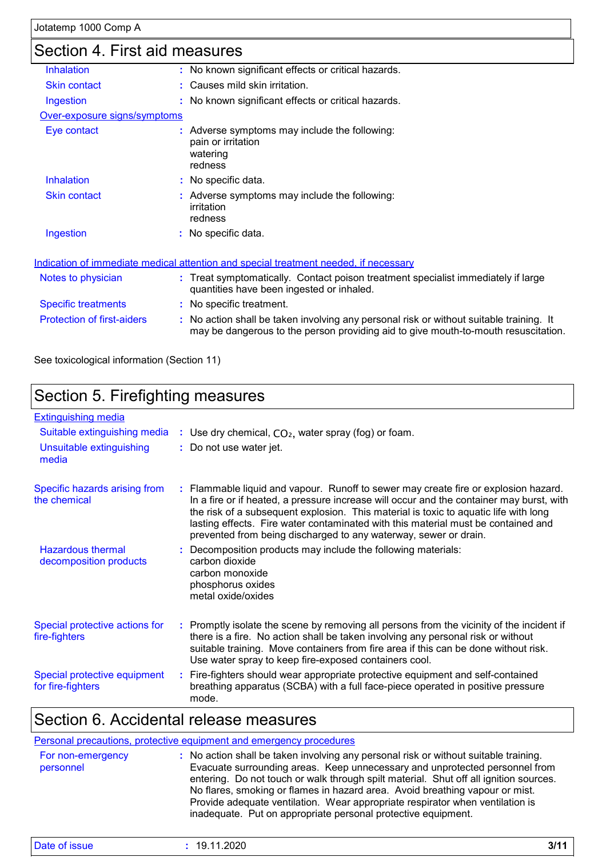## Section 4. First aid measures

| OCUNULL 4. LIISL AIU IIIGASULGS   |                                                                                                                                                                               |
|-----------------------------------|-------------------------------------------------------------------------------------------------------------------------------------------------------------------------------|
| <b>Inhalation</b>                 | : No known significant effects or critical hazards.                                                                                                                           |
| <b>Skin contact</b>               | : Causes mild skin irritation.                                                                                                                                                |
| Ingestion                         | : No known significant effects or critical hazards.                                                                                                                           |
| Over-exposure signs/symptoms      |                                                                                                                                                                               |
| Eye contact                       | : Adverse symptoms may include the following:<br>pain or irritation<br>watering<br>redness                                                                                    |
| <b>Inhalation</b>                 | : No specific data.                                                                                                                                                           |
| <b>Skin contact</b>               | : Adverse symptoms may include the following:<br>irritation<br>redness                                                                                                        |
| Ingestion                         | : No specific data.                                                                                                                                                           |
|                                   | Indication of immediate medical attention and special treatment needed, if necessary                                                                                          |
| Notes to physician                | : Treat symptomatically. Contact poison treatment specialist immediately if large<br>quantities have been ingested or inhaled.                                                |
| <b>Specific treatments</b>        | : No specific treatment.                                                                                                                                                      |
| <b>Protection of first-aiders</b> | : No action shall be taken involving any personal risk or without suitable training. It<br>may be dangerous to the person providing aid to give mouth-to-mouth resuscitation. |

See toxicological information (Section 11)

## Section 5. Firefighting measures

| <b>Extinguishing media</b>                         |                                                                                                                                                                                                                                                                                                                                                                                                                                  |
|----------------------------------------------------|----------------------------------------------------------------------------------------------------------------------------------------------------------------------------------------------------------------------------------------------------------------------------------------------------------------------------------------------------------------------------------------------------------------------------------|
| Suitable extinguishing media                       | : Use dry chemical, $CO2$ , water spray (fog) or foam.                                                                                                                                                                                                                                                                                                                                                                           |
| Unsuitable extinguishing<br>media                  | : Do not use water jet.                                                                                                                                                                                                                                                                                                                                                                                                          |
| Specific hazards arising from<br>the chemical      | : Flammable liquid and vapour. Runoff to sewer may create fire or explosion hazard.<br>In a fire or if heated, a pressure increase will occur and the container may burst, with<br>the risk of a subsequent explosion. This material is toxic to aquatic life with long<br>lasting effects. Fire water contaminated with this material must be contained and<br>prevented from being discharged to any waterway, sewer or drain. |
| <b>Hazardous thermal</b><br>decomposition products | : Decomposition products may include the following materials:<br>carbon dioxide<br>carbon monoxide<br>phosphorus oxides<br>metal oxide/oxides                                                                                                                                                                                                                                                                                    |
| Special protective actions for<br>fire-fighters    | : Promptly isolate the scene by removing all persons from the vicinity of the incident if<br>there is a fire. No action shall be taken involving any personal risk or without<br>suitable training. Move containers from fire area if this can be done without risk.<br>Use water spray to keep fire-exposed containers cool.                                                                                                    |
| Special protective equipment<br>for fire-fighters  | : Fire-fighters should wear appropriate protective equipment and self-contained<br>breathing apparatus (SCBA) with a full face-piece operated in positive pressure<br>mode.                                                                                                                                                                                                                                                      |

## Section 6. Accidental release measures

|                                | Personal precautions, protective equipment and emergency procedures                                                                                                                                                                                                                                                                                                                                                                                                                            |
|--------------------------------|------------------------------------------------------------------------------------------------------------------------------------------------------------------------------------------------------------------------------------------------------------------------------------------------------------------------------------------------------------------------------------------------------------------------------------------------------------------------------------------------|
| For non-emergency<br>personnel | : No action shall be taken involving any personal risk or without suitable training.<br>Evacuate surrounding areas. Keep unnecessary and unprotected personnel from<br>entering. Do not touch or walk through spilt material. Shut off all ignition sources.<br>No flares, smoking or flames in hazard area. Avoid breathing vapour or mist.<br>Provide adequate ventilation. Wear appropriate respirator when ventilation is<br>inadequate. Put on appropriate personal protective equipment. |

| <b>Date</b><br>.2020،،<br>- 44<br>1 C<br>31 I C<br>າວວບບ<br>J. | - - - -<br>714 A<br>JГ. |
|----------------------------------------------------------------|-------------------------|
|----------------------------------------------------------------|-------------------------|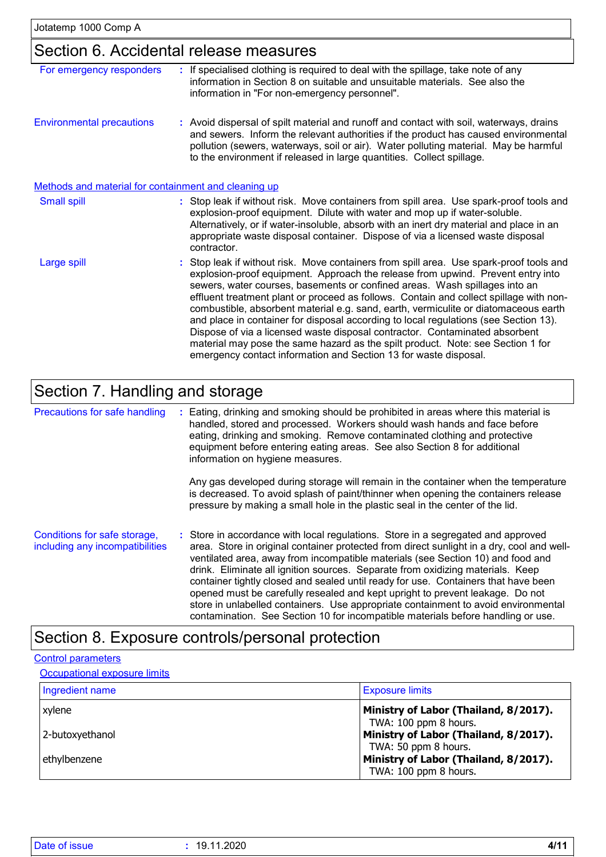## Section 6. Accidental release measures

| For emergency responders                             |                                                                                                                                                                                                                                                                                                                                                 | If specialised clothing is required to deal with the spillage, take note of any<br>information in Section 8 on suitable and unsuitable materials. See also the<br>information in "For non-emergency personnel".                                                                                                                                                                                                                                                                                                                                                                                                                                                                                                                                                         |  |  |
|------------------------------------------------------|-------------------------------------------------------------------------------------------------------------------------------------------------------------------------------------------------------------------------------------------------------------------------------------------------------------------------------------------------|-------------------------------------------------------------------------------------------------------------------------------------------------------------------------------------------------------------------------------------------------------------------------------------------------------------------------------------------------------------------------------------------------------------------------------------------------------------------------------------------------------------------------------------------------------------------------------------------------------------------------------------------------------------------------------------------------------------------------------------------------------------------------|--|--|
| <b>Environmental precautions</b>                     | : Avoid dispersal of spilt material and runoff and contact with soil, waterways, drains<br>and sewers. Inform the relevant authorities if the product has caused environmental<br>pollution (sewers, waterways, soil or air). Water polluting material. May be harmful<br>to the environment if released in large quantities. Collect spillage. |                                                                                                                                                                                                                                                                                                                                                                                                                                                                                                                                                                                                                                                                                                                                                                         |  |  |
| Methods and material for containment and cleaning up |                                                                                                                                                                                                                                                                                                                                                 |                                                                                                                                                                                                                                                                                                                                                                                                                                                                                                                                                                                                                                                                                                                                                                         |  |  |
| <b>Small spill</b>                                   |                                                                                                                                                                                                                                                                                                                                                 | : Stop leak if without risk. Move containers from spill area. Use spark-proof tools and<br>explosion-proof equipment. Dilute with water and mop up if water-soluble.<br>Alternatively, or if water-insoluble, absorb with an inert dry material and place in an<br>appropriate waste disposal container. Dispose of via a licensed waste disposal<br>contractor.                                                                                                                                                                                                                                                                                                                                                                                                        |  |  |
| Large spill                                          |                                                                                                                                                                                                                                                                                                                                                 | : Stop leak if without risk. Move containers from spill area. Use spark-proof tools and<br>explosion-proof equipment. Approach the release from upwind. Prevent entry into<br>sewers, water courses, basements or confined areas. Wash spillages into an<br>effluent treatment plant or proceed as follows. Contain and collect spillage with non-<br>combustible, absorbent material e.g. sand, earth, vermiculite or diatomaceous earth<br>and place in container for disposal according to local regulations (see Section 13).<br>Dispose of via a licensed waste disposal contractor. Contaminated absorbent<br>material may pose the same hazard as the spilt product. Note: see Section 1 for<br>emergency contact information and Section 13 for waste disposal. |  |  |

## Section 7. Handling and storage

| Precautions for safe handling                                   | Eating, drinking and smoking should be prohibited in areas where this material is<br>handled, stored and processed. Workers should wash hands and face before<br>eating, drinking and smoking. Remove contaminated clothing and protective<br>equipment before entering eating areas. See also Section 8 for additional<br>information on hygiene measures.                                                                                                                                                                                                                                                                                                                                         |
|-----------------------------------------------------------------|-----------------------------------------------------------------------------------------------------------------------------------------------------------------------------------------------------------------------------------------------------------------------------------------------------------------------------------------------------------------------------------------------------------------------------------------------------------------------------------------------------------------------------------------------------------------------------------------------------------------------------------------------------------------------------------------------------|
|                                                                 | Any gas developed during storage will remain in the container when the temperature<br>is decreased. To avoid splash of paint/thinner when opening the containers release<br>pressure by making a small hole in the plastic seal in the center of the lid.                                                                                                                                                                                                                                                                                                                                                                                                                                           |
| Conditions for safe storage,<br>including any incompatibilities | : Store in accordance with local regulations. Store in a segregated and approved<br>area. Store in original container protected from direct sunlight in a dry, cool and well-<br>ventilated area, away from incompatible materials (see Section 10) and food and<br>drink. Eliminate all ignition sources. Separate from oxidizing materials. Keep<br>container tightly closed and sealed until ready for use. Containers that have been<br>opened must be carefully resealed and kept upright to prevent leakage. Do not<br>store in unlabelled containers. Use appropriate containment to avoid environmental<br>contamination. See Section 10 for incompatible materials before handling or use. |

## Section 8. Exposure controls/personal protection

#### Control parameters

#### **Occupational exposure limits**

| Ingredient name | <b>Exposure limits</b>                                         |
|-----------------|----------------------------------------------------------------|
| xvlene          | Ministry of Labor (Thailand, 8/2017).<br>TWA: 100 ppm 8 hours. |
| 2-butoxyethanol | Ministry of Labor (Thailand, 8/2017).<br>TWA: 50 ppm 8 hours.  |
| ethylbenzene    | Ministry of Labor (Thailand, 8/2017).<br>TWA: 100 ppm 8 hours. |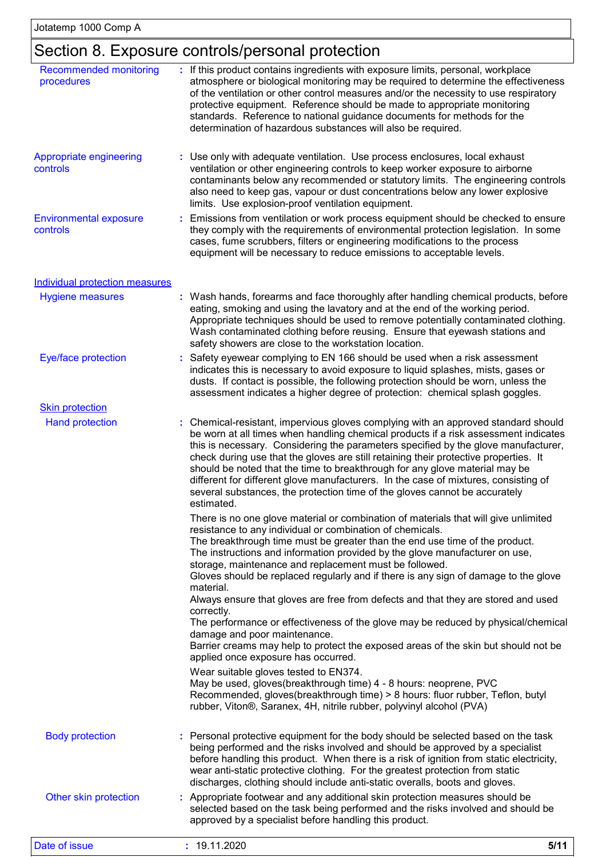## Section 8. Exposure controls/personal protection

| <b>Recommended monitoring</b><br>procedures | : If this product contains ingredients with exposure limits, personal, workplace<br>atmosphere or biological monitoring may be required to determine the effectiveness<br>of the ventilation or other control measures and/or the necessity to use respiratory<br>protective equipment. Reference should be made to appropriate monitoring<br>standards. Reference to national guidance documents for methods for the<br>determination of hazardous substances will also be required.                                                                                                                                                                                                                |  |  |  |
|---------------------------------------------|------------------------------------------------------------------------------------------------------------------------------------------------------------------------------------------------------------------------------------------------------------------------------------------------------------------------------------------------------------------------------------------------------------------------------------------------------------------------------------------------------------------------------------------------------------------------------------------------------------------------------------------------------------------------------------------------------|--|--|--|
| Appropriate engineering<br>controls         | : Use only with adequate ventilation. Use process enclosures, local exhaust<br>ventilation or other engineering controls to keep worker exposure to airborne<br>contaminants below any recommended or statutory limits. The engineering controls<br>also need to keep gas, vapour or dust concentrations below any lower explosive<br>limits. Use explosion-proof ventilation equipment.                                                                                                                                                                                                                                                                                                             |  |  |  |
| <b>Environmental exposure</b><br>controls   | : Emissions from ventilation or work process equipment should be checked to ensure<br>they comply with the requirements of environmental protection legislation. In some<br>cases, fume scrubbers, filters or engineering modifications to the process<br>equipment will be necessary to reduce emissions to acceptable levels.                                                                                                                                                                                                                                                                                                                                                                      |  |  |  |
| <b>Individual protection measures</b>       |                                                                                                                                                                                                                                                                                                                                                                                                                                                                                                                                                                                                                                                                                                      |  |  |  |
| <b>Hygiene measures</b>                     | : Wash hands, forearms and face thoroughly after handling chemical products, before<br>eating, smoking and using the lavatory and at the end of the working period.<br>Appropriate techniques should be used to remove potentially contaminated clothing.<br>Wash contaminated clothing before reusing. Ensure that eyewash stations and<br>safety showers are close to the workstation location.                                                                                                                                                                                                                                                                                                    |  |  |  |
| Eye/face protection                         | : Safety eyewear complying to EN 166 should be used when a risk assessment<br>indicates this is necessary to avoid exposure to liquid splashes, mists, gases or<br>dusts. If contact is possible, the following protection should be worn, unless the<br>assessment indicates a higher degree of protection: chemical splash goggles.                                                                                                                                                                                                                                                                                                                                                                |  |  |  |
| <b>Skin protection</b>                      |                                                                                                                                                                                                                                                                                                                                                                                                                                                                                                                                                                                                                                                                                                      |  |  |  |
| <b>Hand protection</b>                      | : Chemical-resistant, impervious gloves complying with an approved standard should<br>be worn at all times when handling chemical products if a risk assessment indicates<br>this is necessary. Considering the parameters specified by the glove manufacturer,<br>check during use that the gloves are still retaining their protective properties. It<br>should be noted that the time to breakthrough for any glove material may be<br>different for different glove manufacturers. In the case of mixtures, consisting of<br>several substances, the protection time of the gloves cannot be accurately<br>estimated.                                                                            |  |  |  |
|                                             | There is no one glove material or combination of materials that will give unlimited<br>resistance to any individual or combination of chemicals.<br>The breakthrough time must be greater than the end use time of the product.<br>The instructions and information provided by the glove manufacturer on use,<br>storage, maintenance and replacement must be followed.<br>Gloves should be replaced regularly and if there is any sign of damage to the glove<br>material.<br>Always ensure that gloves are free from defects and that they are stored and used<br>correctly.<br>The performance or effectiveness of the glove may be reduced by physical/chemical<br>damage and poor maintenance. |  |  |  |
|                                             | Barrier creams may help to protect the exposed areas of the skin but should not be<br>applied once exposure has occurred.<br>Wear suitable gloves tested to EN374.                                                                                                                                                                                                                                                                                                                                                                                                                                                                                                                                   |  |  |  |
|                                             | May be used, gloves(breakthrough time) 4 - 8 hours: neoprene, PVC<br>Recommended, gloves(breakthrough time) > 8 hours: fluor rubber, Teflon, butyl<br>rubber, Viton®, Saranex, 4H, nitrile rubber, polyvinyl alcohol (PVA)                                                                                                                                                                                                                                                                                                                                                                                                                                                                           |  |  |  |
| <b>Body protection</b>                      | : Personal protective equipment for the body should be selected based on the task<br>being performed and the risks involved and should be approved by a specialist<br>before handling this product. When there is a risk of ignition from static electricity,<br>wear anti-static protective clothing. For the greatest protection from static<br>discharges, clothing should include anti-static overalls, boots and gloves.                                                                                                                                                                                                                                                                        |  |  |  |
| Other skin protection                       | Appropriate footwear and any additional skin protection measures should be<br>selected based on the task being performed and the risks involved and should be<br>approved by a specialist before handling this product.                                                                                                                                                                                                                                                                                                                                                                                                                                                                              |  |  |  |
| Date of issue                               | : 19.11.2020<br>5/11                                                                                                                                                                                                                                                                                                                                                                                                                                                                                                                                                                                                                                                                                 |  |  |  |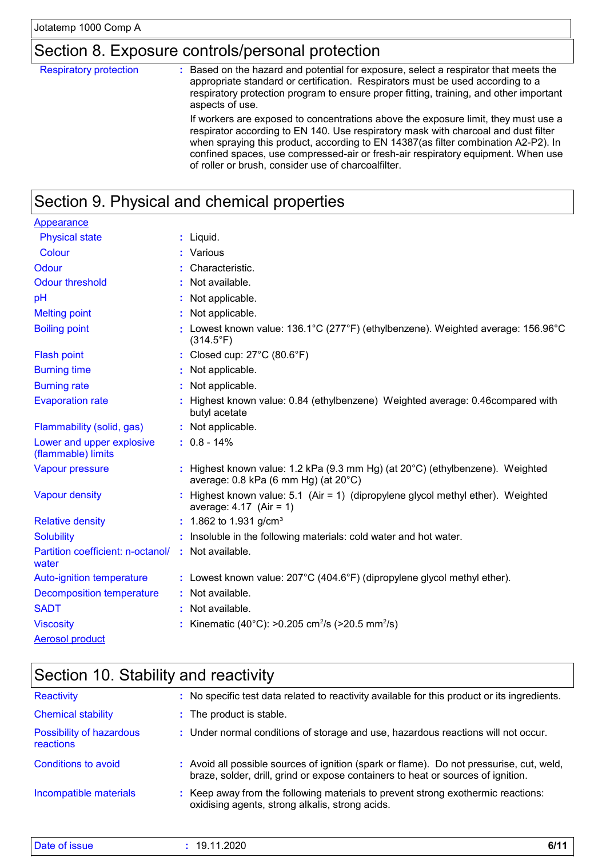**Solubility** 

water

Auto-ignition temperature

|                                                 | Section 8. Exposure controls/personal protection                                                                                                                                                                                                                                                                                                                                                                                                                                                                                                                                                                                                                                                     |  |  |  |  |
|-------------------------------------------------|------------------------------------------------------------------------------------------------------------------------------------------------------------------------------------------------------------------------------------------------------------------------------------------------------------------------------------------------------------------------------------------------------------------------------------------------------------------------------------------------------------------------------------------------------------------------------------------------------------------------------------------------------------------------------------------------------|--|--|--|--|
| <b>Respiratory protection</b>                   | Based on the hazard and potential for exposure, select a respirator that meets the<br>÷.<br>appropriate standard or certification. Respirators must be used according to a<br>respiratory protection program to ensure proper fitting, training, and other important<br>aspects of use.<br>If workers are exposed to concentrations above the exposure limit, they must use a<br>respirator according to EN 140. Use respiratory mask with charcoal and dust filter<br>when spraying this product, according to EN 14387(as filter combination A2-P2). In<br>confined spaces, use compressed-air or fresh-air respiratory equipment. When use<br>of roller or brush, consider use of charcoalfilter. |  |  |  |  |
|                                                 |                                                                                                                                                                                                                                                                                                                                                                                                                                                                                                                                                                                                                                                                                                      |  |  |  |  |
|                                                 | Section 9. Physical and chemical properties                                                                                                                                                                                                                                                                                                                                                                                                                                                                                                                                                                                                                                                          |  |  |  |  |
| Appearance                                      |                                                                                                                                                                                                                                                                                                                                                                                                                                                                                                                                                                                                                                                                                                      |  |  |  |  |
| <b>Physical state</b>                           | : Liquid.                                                                                                                                                                                                                                                                                                                                                                                                                                                                                                                                                                                                                                                                                            |  |  |  |  |
| Colour                                          | : Various                                                                                                                                                                                                                                                                                                                                                                                                                                                                                                                                                                                                                                                                                            |  |  |  |  |
| Odour                                           | Characteristic.                                                                                                                                                                                                                                                                                                                                                                                                                                                                                                                                                                                                                                                                                      |  |  |  |  |
| <b>Odour threshold</b>                          | Not available.                                                                                                                                                                                                                                                                                                                                                                                                                                                                                                                                                                                                                                                                                       |  |  |  |  |
| pH                                              | Not applicable.                                                                                                                                                                                                                                                                                                                                                                                                                                                                                                                                                                                                                                                                                      |  |  |  |  |
| <b>Melting point</b>                            | : Not applicable.                                                                                                                                                                                                                                                                                                                                                                                                                                                                                                                                                                                                                                                                                    |  |  |  |  |
| <b>Boiling point</b>                            | : Lowest known value: $136.1^{\circ}$ C (277 $^{\circ}$ F) (ethylbenzene). Weighted average: $156.96^{\circ}$ C<br>$(314.5^{\circ}F)$                                                                                                                                                                                                                                                                                                                                                                                                                                                                                                                                                                |  |  |  |  |
| <b>Flash point</b>                              | : Closed cup: 27°C (80.6°F)                                                                                                                                                                                                                                                                                                                                                                                                                                                                                                                                                                                                                                                                          |  |  |  |  |
| <b>Burning time</b>                             | Not applicable.                                                                                                                                                                                                                                                                                                                                                                                                                                                                                                                                                                                                                                                                                      |  |  |  |  |
| <b>Burning rate</b>                             | Not applicable.                                                                                                                                                                                                                                                                                                                                                                                                                                                                                                                                                                                                                                                                                      |  |  |  |  |
| <b>Evaporation rate</b>                         | Highest known value: 0.84 (ethylbenzene) Weighted average: 0.46compared with<br>butyl acetate                                                                                                                                                                                                                                                                                                                                                                                                                                                                                                                                                                                                        |  |  |  |  |
| Flammability (solid, gas)                       | : Not applicable.                                                                                                                                                                                                                                                                                                                                                                                                                                                                                                                                                                                                                                                                                    |  |  |  |  |
| Lower and upper explosive<br>(flammable) limits | $: 0.8 - 14\%$                                                                                                                                                                                                                                                                                                                                                                                                                                                                                                                                                                                                                                                                                       |  |  |  |  |
| Vapour pressure                                 | : Highest known value: 1.2 kPa (9.3 mm Hg) (at 20°C) (ethylbenzene). Weighted<br>average: 0.8 kPa (6 mm Hg) (at 20°C)                                                                                                                                                                                                                                                                                                                                                                                                                                                                                                                                                                                |  |  |  |  |
| <b>Vapour density</b>                           | : Highest known value: 5.1 (Air = 1) (dipropylene glycol methyl ether). Weighted<br>average: $4.17$ (Air = 1)                                                                                                                                                                                                                                                                                                                                                                                                                                                                                                                                                                                        |  |  |  |  |
| <b>Relative density</b>                         | : 1.862 to 1.931 g/cm <sup>3</sup>                                                                                                                                                                                                                                                                                                                                                                                                                                                                                                                                                                                                                                                                   |  |  |  |  |

# Aerosol product

Viscosity : Kinematic (40°C): >0.205 cm<sup>2</sup>/s (>20.5 mm<sup>2</sup>/s)

Partition coefficient: n-octanol/ : Not available.

SADT : Not available. Decomposition temperature **:** Not available.

| Section 10. Stability and reactivity  |                                                                                                                                                                              |  |  |
|---------------------------------------|------------------------------------------------------------------------------------------------------------------------------------------------------------------------------|--|--|
| Reactivity                            | : No specific test data related to reactivity available for this product or its ingredients.                                                                                 |  |  |
| <b>Chemical stability</b>             | : The product is stable.                                                                                                                                                     |  |  |
| Possibility of hazardous<br>reactions | : Under normal conditions of storage and use, hazardous reactions will not occur.                                                                                            |  |  |
| Conditions to avoid                   | : Avoid all possible sources of ignition (spark or flame). Do not pressurise, cut, weld,<br>braze, solder, drill, grind or expose containers to heat or sources of ignition. |  |  |
| Incompatible materials                | : Keep away from the following materials to prevent strong exothermic reactions:<br>oxidising agents, strong alkalis, strong acids.                                          |  |  |
|                                       |                                                                                                                                                                              |  |  |

**:** Insoluble in the following materials: cold water and hot water.

: Lowest known value: 207°C (404.6°F) (dipropylene glycol methyl ether).

| Date of issue | .2020<br>1 G<br>ໍປ. | CIA A<br>Оı<br>. . |
|---------------|---------------------|--------------------|
|---------------|---------------------|--------------------|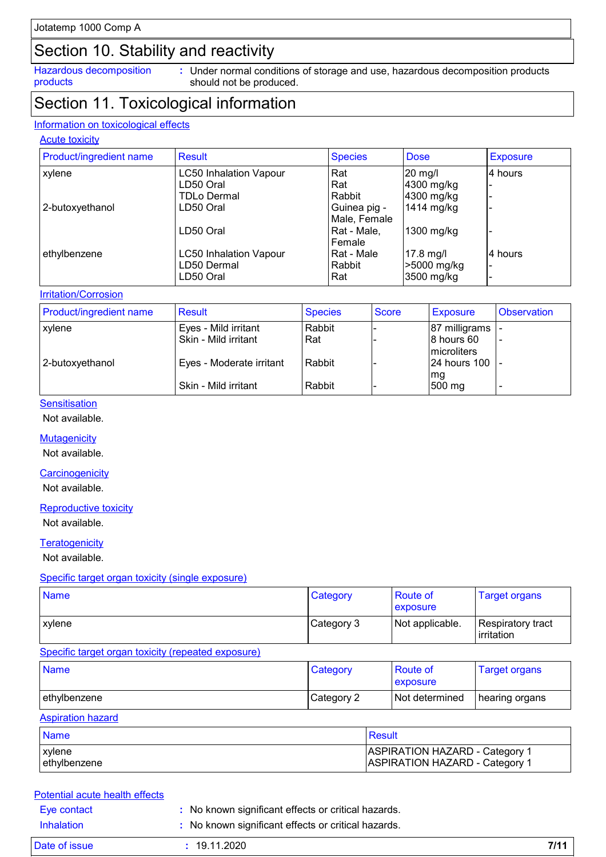## Section 10. Stability and reactivity

Hazardous decomposition products

Under normal conditions of storage and use, hazardous decomposition products **:** should not be produced.

## Section 11. Toxicological information

#### Information on toxicological effects

#### **Acute toxicity**

| <b>Product/ingredient name</b> | Result                        | <b>Species</b> | <b>Dose</b> | <b>Exposure</b> |
|--------------------------------|-------------------------------|----------------|-------------|-----------------|
| xylene                         | <b>LC50 Inhalation Vapour</b> | Rat            | $20$ mg/l   | 4 hours         |
|                                | LD50 Oral                     | Rat            | 4300 mg/kg  |                 |
|                                | <b>TDLo Dermal</b>            | Rabbit         | 4300 mg/kg  |                 |
| 2-butoxyethanol                | LD50 Oral                     | Guinea pig -   | 1414 mg/kg  |                 |
|                                |                               | Male, Female   |             |                 |
|                                | LD50 Oral                     | Rat - Male,    | 1300 mg/kg  |                 |
|                                |                               | Female         |             |                 |
| ethylbenzene                   | <b>LC50 Inhalation Vapour</b> | Rat - Male     | $17.8$ mg/l | 4 hours         |
|                                | LD50 Dermal                   | Rabbit         | >5000 mg/kg |                 |
|                                | LD50 Oral                     | Rat            | 3500 mg/kg  |                 |

#### **Irritation/Corrosion**

| <b>Product/ingredient name</b> | <b>Result</b>            | <b>Species</b> | <b>Score</b> | <b>Exposure</b>     | <b>Observation</b> |
|--------------------------------|--------------------------|----------------|--------------|---------------------|--------------------|
| <b>xylene</b>                  | Eyes - Mild irritant     | Rabbit         |              | 87 milligrams  -    |                    |
|                                | Skin - Mild irritant     | Rat            |              | 8 hours 60          |                    |
|                                |                          |                |              | <b>Imicroliters</b> |                    |
| 2-butoxyethanol                | Eyes - Moderate irritant | Rabbit         |              | 24 hours 100   -    |                    |
|                                |                          |                |              | mg                  |                    |
|                                | Skin - Mild irritant     | Rabbit         |              | 500 mg              |                    |

#### **Sensitisation**

Not available.

**Mutagenicity** 

Not available.

#### **Carcinogenicity**

Not available.

#### Reproductive toxicity

Not available.

#### **Teratogenicity**

Not available.

#### Specific target organ toxicity (single exposure)

| <b>Name</b>   | Category   | Route of<br><b>exposure</b> | <b>Target organs</b>            |
|---------------|------------|-----------------------------|---------------------------------|
| <b>xylene</b> | Category 3 | Not applicable.             | Respiratory tract<br>irritation |

#### Specific target organ toxicity (repeated exposure)

| <b>Name</b>  | Category   | <b>Route of</b><br><b>exposure</b> | <b>Target organs</b> |
|--------------|------------|------------------------------------|----------------------|
| ethylbenzene | Category 2 | Not determined                     | I hearing organs     |

### Aspiration hazard

| <b>Name</b>  | Result                                |
|--------------|---------------------------------------|
| xylene       | <b>ASPIRATION HAZARD - Category 1</b> |
| ethylbenzene | <b>ASPIRATION HAZARD - Category 1</b> |

#### Eye contact **:** No known significant effects or critical hazards. Potential acute health effects

| Inhalation    | : No known significant effects or critical hazards. |      |
|---------------|-----------------------------------------------------|------|
| Date of issue | : 19.11.2020                                        | 7/11 |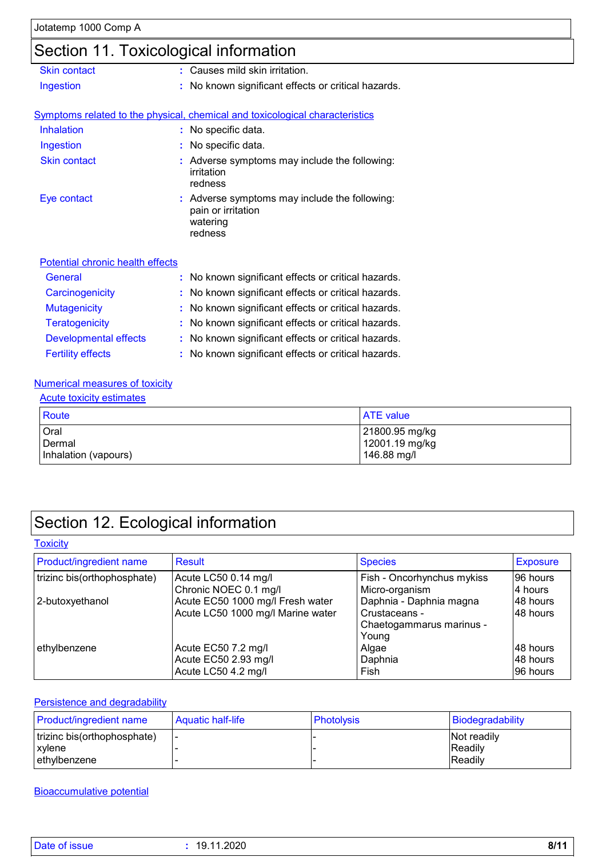## Section 11. Toxicological information

| <b>Skin contact</b>              | t. | Causes mild skin irritation.                                                             |
|----------------------------------|----|------------------------------------------------------------------------------------------|
| Ingestion                        |    | No known significant effects or critical hazards.                                        |
|                                  |    |                                                                                          |
|                                  |    | Symptoms related to the physical, chemical and toxicological characteristics             |
| Inhalation                       |    | : No specific data.                                                                      |
| Ingestion                        |    | No specific data.                                                                        |
| <b>Skin contact</b>              |    | Adverse symptoms may include the following:<br>irritation<br>redness                     |
| Eye contact                      |    | Adverse symptoms may include the following:<br>pain or irritation<br>watering<br>redness |
| Potential chronic health effects |    |                                                                                          |
| General                          |    | No known significant effects or critical hazards.                                        |
| Carcinogenicity                  |    | No known significant effects or critical hazards.                                        |
| <b>Mutagenicity</b>              | ÷  | No known significant effects or critical hazards.                                        |
| <b>Teratogenicity</b>            |    | No known significant effects or critical hazards.                                        |
| <b>Developmental effects</b>     |    | No known significant effects or critical hazards.                                        |

### Fertility effects **:** No known significant effects or critical hazards.

### Numerical measures of toxicity

#### Acute toxicity estimates

| <b>Route</b>         | <b>ATE</b> value |
|----------------------|------------------|
| Oral                 | 21800.95 mg/kg   |
| Dermal               | 12001.19 mg/kg   |
| Inhalation (vapours) | 146.88 mg/l      |

## Section 12. Ecological information

#### **Toxicity**

| Product/ingredient name     | Result                            | <b>Species</b>             | <b>Exposure</b> |
|-----------------------------|-----------------------------------|----------------------------|-----------------|
| trizinc bis(orthophosphate) | Acute LC50 0.14 mg/l              | Fish - Oncorhynchus mykiss | 96 hours        |
|                             | Chronic NOEC 0.1 mg/l             | Micro-organism             | 4 hours         |
| 2-butoxyethanol             | Acute EC50 1000 mg/l Fresh water  | Daphnia - Daphnia magna    | 48 hours        |
|                             | Acute LC50 1000 mg/l Marine water | Crustaceans -              | 48 hours        |
|                             |                                   | Chaetogammarus marinus -   |                 |
|                             |                                   | Young                      |                 |
| ethylbenzene                | Acute EC50 7.2 mg/l               | Algae                      | I48 hours       |
|                             | Acute EC50 2.93 mg/l              | Daphnia                    | 48 hours        |
|                             | Acute LC50 4.2 mg/l               | Fish                       | 96 hours        |

### Persistence and degradability

| <b>Product/ingredient name</b>          | Aquatic half-life | <b>Photolysis</b> | Biodegradability              |
|-----------------------------------------|-------------------|-------------------|-------------------------------|
| trizinc bis(orthophosphate)<br>l xvlene |                   |                   | <b>Not readily</b><br>Readily |
| ethylbenzene                            |                   |                   | <b>Readilv</b>                |

### Bioaccumulative potential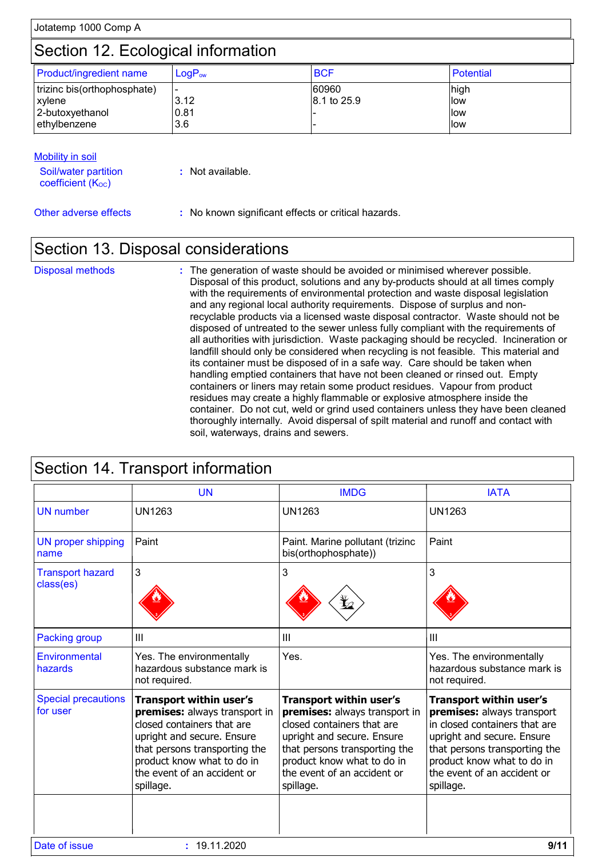|  | Jotatemp 1000 Comp A |  |
|--|----------------------|--|
|--|----------------------|--|

## Section 12. Ecological information

| <b>Product/ingredient name</b> | $LogP_{ow}$ | <b>BCF</b>  | Potential |
|--------------------------------|-------------|-------------|-----------|
| trizinc bis(orthophosphate)    |             | 60960       | high      |
| xylene                         | 3.12        | 8.1 to 25.9 | llow      |
| 2-butoxyethanol                | 0.81        |             | llow      |
| l ethvlbenzene                 | 3.6         |             | llow      |

| Mobility in soil                               |                  |
|------------------------------------------------|------------------|
| Soil/water partition<br>coefficient $(K_{OC})$ | : Not available. |

Other adverse effects **:** No known significant effects or critical hazards.

## Section 13. Disposal considerations

The generation of waste should be avoided or minimised wherever possible. Disposal of this product, solutions and any by-products should at all times comply with the requirements of environmental protection and waste disposal legislation and any regional local authority requirements. Dispose of surplus and nonrecyclable products via a licensed waste disposal contractor. Waste should not be disposed of untreated to the sewer unless fully compliant with the requirements of all authorities with jurisdiction. Waste packaging should be recycled. Incineration or landfill should only be considered when recycling is not feasible. This material and its container must be disposed of in a safe way. Care should be taken when handling emptied containers that have not been cleaned or rinsed out. Empty containers or liners may retain some product residues. Vapour from product residues may create a highly flammable or explosive atmosphere inside the container. Do not cut, weld or grind used containers unless they have been cleaned thoroughly internally. Avoid dispersal of spilt material and runoff and contact with soil, waterways, drains and sewers. Disposal methods **:**

|                                        | <b>UN</b>                                                                                                                                                                                                                              | <b>IMDG</b>                                                                                                                                                                                                                            | <b>IATA</b>                                                                                                                                                                                                                     |
|----------------------------------------|----------------------------------------------------------------------------------------------------------------------------------------------------------------------------------------------------------------------------------------|----------------------------------------------------------------------------------------------------------------------------------------------------------------------------------------------------------------------------------------|---------------------------------------------------------------------------------------------------------------------------------------------------------------------------------------------------------------------------------|
| <b>UN</b> number                       | <b>UN1263</b>                                                                                                                                                                                                                          | <b>UN1263</b>                                                                                                                                                                                                                          | <b>UN1263</b>                                                                                                                                                                                                                   |
| <b>UN proper shipping</b><br>name      | Paint                                                                                                                                                                                                                                  | Paint. Marine pollutant (trizinc<br>bis(orthophosphate))                                                                                                                                                                               | Paint                                                                                                                                                                                                                           |
| <b>Transport hazard</b><br>class(es)   | 3                                                                                                                                                                                                                                      | 3                                                                                                                                                                                                                                      | 3                                                                                                                                                                                                                               |
| <b>Packing group</b>                   | $\mathbf{III}$                                                                                                                                                                                                                         | III                                                                                                                                                                                                                                    | III                                                                                                                                                                                                                             |
| Environmental<br>hazards               | Yes. The environmentally<br>hazardous substance mark is<br>not required.                                                                                                                                                               | Yes.                                                                                                                                                                                                                                   | Yes. The environmentally<br>hazardous substance mark is<br>not required.                                                                                                                                                        |
| <b>Special precautions</b><br>for user | <b>Transport within user's</b><br>premises: always transport in<br>closed containers that are<br>upright and secure. Ensure<br>that persons transporting the<br>product know what to do in<br>the event of an accident or<br>spillage. | <b>Transport within user's</b><br>premises: always transport in<br>closed containers that are<br>upright and secure. Ensure<br>that persons transporting the<br>product know what to do in<br>the event of an accident or<br>spillage. | Transport within user's<br>premises: always transport<br>in closed containers that are<br>upright and secure. Ensure<br>that persons transporting the<br>product know what to do in<br>the event of an accident or<br>spillage. |
| Date of issue                          | : 19.11.2020                                                                                                                                                                                                                           |                                                                                                                                                                                                                                        | 9/11                                                                                                                                                                                                                            |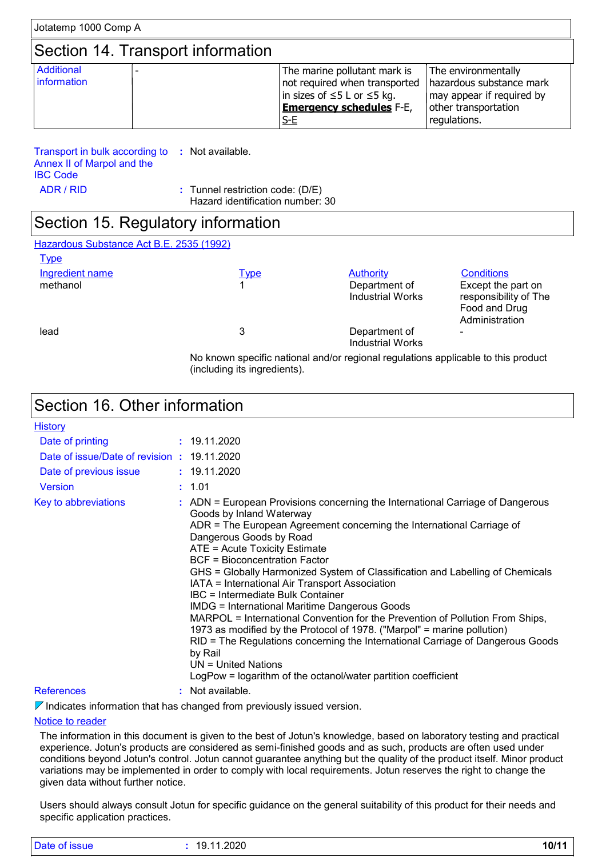| Jotatemp 1000 Comp A              |  |                                                                                                                                        |                                                                                                                      |  |
|-----------------------------------|--|----------------------------------------------------------------------------------------------------------------------------------------|----------------------------------------------------------------------------------------------------------------------|--|
| Section 14. Transport information |  |                                                                                                                                        |                                                                                                                      |  |
| Additional<br>information         |  | The marine pollutant mark is<br>not required when transported<br> in sizes of ≤5 L or ≤5 kg.<br><b>Emergency schedules F-E,</b><br>S-E | The environmentally<br>hazardous substance mark<br>may appear if required by<br>other transportation<br>regulations. |  |

Transport in bulk according to **:** Not available. Annex II of Marpol and the IBC Code

ADR / RID **:** Tunnel restriction code: (D/E) Hazard identification number: 30

## Section 15. Regulatory information

| Hazardous Substance Act B.E. 2535 (1992) |  |
|------------------------------------------|--|
|                                          |  |

 $\pm$  . . . .

| <u>туре</u><br>Ingredient name | <u>Type</u> | <b>Authority</b>                                                                  | <b>Conditions</b>                                                              |
|--------------------------------|-------------|-----------------------------------------------------------------------------------|--------------------------------------------------------------------------------|
| methanol                       |             | Department of<br>Industrial Works                                                 | Except the part on<br>responsibility of The<br>Food and Drug<br>Administration |
| lead                           | 3           | Department of<br><b>Industrial Works</b>                                          |                                                                                |
|                                |             | No known specific national and/or regional regulations applicable to this product |                                                                                |

(including its ingredients).

## Section 16. Other information

| <b>History</b>                              |                                                                                                                                                                                                                                                                                                                                                                                                                                                                                                                                                                                                                                                                                                                                                                                                                                                                                   |
|---------------------------------------------|-----------------------------------------------------------------------------------------------------------------------------------------------------------------------------------------------------------------------------------------------------------------------------------------------------------------------------------------------------------------------------------------------------------------------------------------------------------------------------------------------------------------------------------------------------------------------------------------------------------------------------------------------------------------------------------------------------------------------------------------------------------------------------------------------------------------------------------------------------------------------------------|
| Date of printing                            | : 19.11.2020                                                                                                                                                                                                                                                                                                                                                                                                                                                                                                                                                                                                                                                                                                                                                                                                                                                                      |
| Date of issue/Date of revision : 19.11.2020 |                                                                                                                                                                                                                                                                                                                                                                                                                                                                                                                                                                                                                                                                                                                                                                                                                                                                                   |
| Date of previous issue                      | : 19.11.2020                                                                                                                                                                                                                                                                                                                                                                                                                                                                                                                                                                                                                                                                                                                                                                                                                                                                      |
| <b>Version</b>                              | : 1.01                                                                                                                                                                                                                                                                                                                                                                                                                                                                                                                                                                                                                                                                                                                                                                                                                                                                            |
| Key to abbreviations                        | : ADN = European Provisions concerning the International Carriage of Dangerous<br>Goods by Inland Waterway<br>ADR = The European Agreement concerning the International Carriage of<br>Dangerous Goods by Road<br>ATE = Acute Toxicity Estimate<br><b>BCF</b> = Bioconcentration Factor<br>GHS = Globally Harmonized System of Classification and Labelling of Chemicals<br>IATA = International Air Transport Association<br><b>IBC</b> = Intermediate Bulk Container<br><b>IMDG = International Maritime Dangerous Goods</b><br>MARPOL = International Convention for the Prevention of Pollution From Ships,<br>1973 as modified by the Protocol of 1978. ("Marpol" = marine pollution)<br>RID = The Regulations concerning the International Carriage of Dangerous Goods<br>by Rail<br>$UN = United Nations$<br>LogPow = logarithm of the octanol/water partition coefficient |
| References                                  | Not available.                                                                                                                                                                                                                                                                                                                                                                                                                                                                                                                                                                                                                                                                                                                                                                                                                                                                    |

 $\nabla$  Indicates information that has changed from previously issued version.

#### Notice to reader

The information in this document is given to the best of Jotun's knowledge, based on laboratory testing and practical experience. Jotun's products are considered as semi-finished goods and as such, products are often used under conditions beyond Jotun's control. Jotun cannot guarantee anything but the quality of the product itself. Minor product variations may be implemented in order to comply with local requirements. Jotun reserves the right to change the given data without further notice.

Users should always consult Jotun for specific guidance on the general suitability of this product for their needs and specific application practices.

| Date of issue | 19.11.2020 | 10/11 |
|---------------|------------|-------|
|               |            |       |